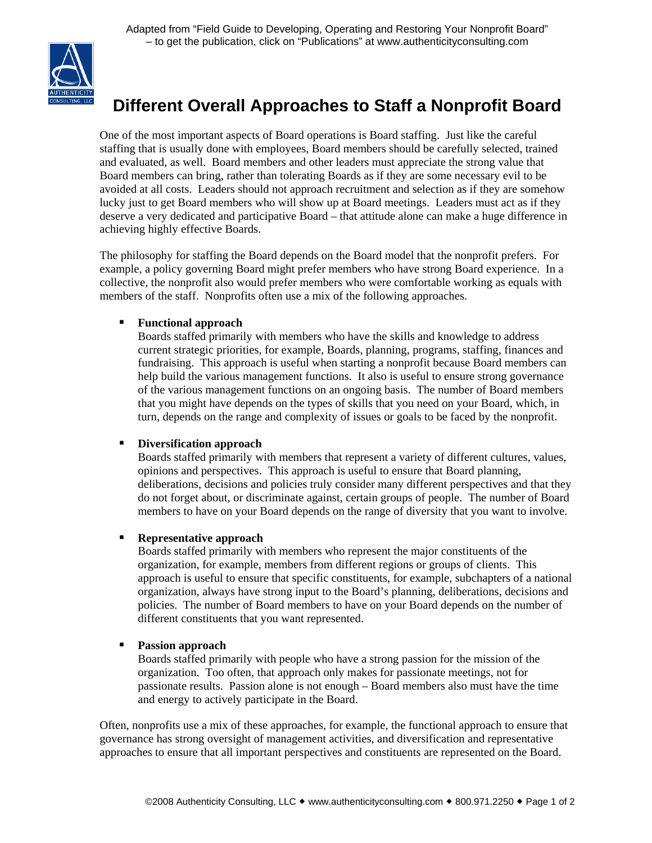

# **Different Overall Approaches to Staff a Nonprofit Board**

One of the most important aspects of Board operations is Board staffing. Just like the careful staffing that is usually done with employees, Board members should be carefully selected, trained and evaluated, as well. Board members and other leaders must appreciate the strong value that Board members can bring, rather than tolerating Boards as if they are some necessary evil to be avoided at all costs. Leaders should not approach recruitment and selection as if they are somehow lucky just to get Board members who will show up at Board meetings. Leaders must act as if they deserve a very dedicated and participative Board – that attitude alone can make a huge difference in achieving highly effective Boards.

The philosophy for staffing the Board depends on the Board model that the nonprofit prefers. For example, a policy governing Board might prefer members who have strong Board experience. In a collective, the nonprofit also would prefer members who were comfortable working as equals with members of the staff. Nonprofits often use a mix of the following approaches.

## **Functional approach**

Boards staffed primarily with members who have the skills and knowledge to address current strategic priorities, for example, Boards, planning, programs, staffing, finances and fundraising. This approach is useful when starting a nonprofit because Board members can help build the various management functions. It also is useful to ensure strong governance of the various management functions on an ongoing basis. The number of Board members that you might have depends on the types of skills that you need on your Board, which, in turn, depends on the range and complexity of issues or goals to be faced by the nonprofit.

### **Diversification approach**

Boards staffed primarily with members that represent a variety of different cultures, values, opinions and perspectives. This approach is useful to ensure that Board planning, deliberations, decisions and policies truly consider many different perspectives and that they do not forget about, or discriminate against, certain groups of people. The number of Board members to have on your Board depends on the range of diversity that you want to involve.

### **Representative approach**

Boards staffed primarily with members who represent the major constituents of the organization, for example, members from different regions or groups of clients. This approach is useful to ensure that specific constituents, for example, subchapters of a national organization, always have strong input to the Board's planning, deliberations, decisions and policies. The number of Board members to have on your Board depends on the number of different constituents that you want represented.

### **Passion approach**

Boards staffed primarily with people who have a strong passion for the mission of the organization. Too often, that approach only makes for passionate meetings, not for passionate results. Passion alone is not enough – Board members also must have the time and energy to actively participate in the Board.

Often, nonprofits use a mix of these approaches, for example, the functional approach to ensure that governance has strong oversight of management activities, and diversification and representative approaches to ensure that all important perspectives and constituents are represented on the Board.